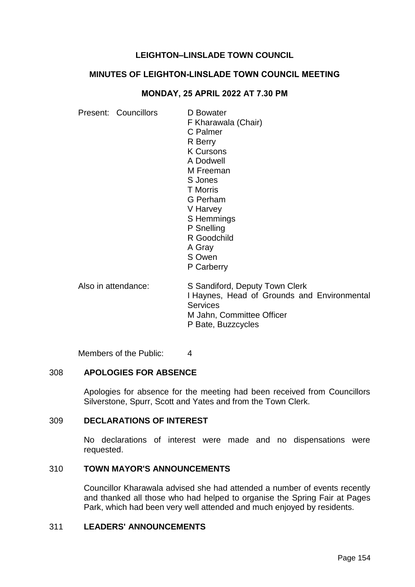# **LEIGHTON–LINSLADE TOWN COUNCIL**

### **MINUTES OF LEIGHTON-LINSLADE TOWN COUNCIL MEETING**

### **MONDAY, 25 APRIL 2022 AT 7.30 PM**

Present: Councillors D Bowater

F Kharawala (Chair) C Palmer R Berry K Cursons A Dodwell M Freeman S Jones T Morris G Perham V Harvey S Hemmings P Snelling R Goodchild A Gray S Owen P Carberry

Also in attendance: S Sandiford, Deputy Town Clerk I Haynes, Head of Grounds and Environmental **Services** M Jahn, Committee Officer P Bate, Buzzcycles

Members of the Public: 4

#### 308 **APOLOGIES FOR ABSENCE**

Apologies for absence for the meeting had been received from Councillors Silverstone, Spurr, Scott and Yates and from the Town Clerk.

# 309 **DECLARATIONS OF INTEREST**

No declarations of interest were made and no dispensations were requested.

## 310 **TOWN MAYOR'S ANNOUNCEMENTS**

Councillor Kharawala advised she had attended a number of events recently and thanked all those who had helped to organise the Spring Fair at Pages Park, which had been very well attended and much enjoyed by residents.

## 311 **LEADERS' ANNOUNCEMENTS**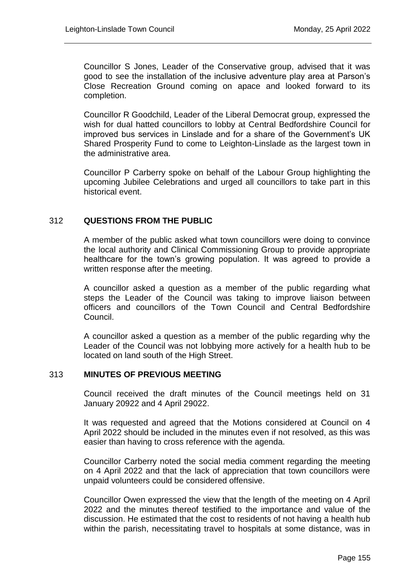Councillor S Jones, Leader of the Conservative group, advised that it was good to see the installation of the inclusive adventure play area at Parson's Close Recreation Ground coming on apace and looked forward to its completion.

Councillor R Goodchild, Leader of the Liberal Democrat group, expressed the wish for dual hatted councillors to lobby at Central Bedfordshire Council for improved bus services in Linslade and for a share of the Government's UK Shared Prosperity Fund to come to Leighton-Linslade as the largest town in the administrative area.

Councillor P Carberry spoke on behalf of the Labour Group highlighting the upcoming Jubilee Celebrations and urged all councillors to take part in this historical event.

## 312 **QUESTIONS FROM THE PUBLIC**

A member of the public asked what town councillors were doing to convince the local authority and Clinical Commissioning Group to provide appropriate healthcare for the town's growing population. It was agreed to provide a written response after the meeting.

A councillor asked a question as a member of the public regarding what steps the Leader of the Council was taking to improve liaison between officers and councillors of the Town Council and Central Bedfordshire Council.

A councillor asked a question as a member of the public regarding why the Leader of the Council was not lobbying more actively for a health hub to be located on land south of the High Street.

#### 313 **MINUTES OF PREVIOUS MEETING**

Council received the draft minutes of the Council meetings held on 31 January 20922 and 4 April 29022.

It was requested and agreed that the Motions considered at Council on 4 April 2022 should be included in the minutes even if not resolved, as this was easier than having to cross reference with the agenda.

Councillor Carberry noted the social media comment regarding the meeting on 4 April 2022 and that the lack of appreciation that town councillors were unpaid volunteers could be considered offensive.

Councillor Owen expressed the view that the length of the meeting on 4 April 2022 and the minutes thereof testified to the importance and value of the discussion. He estimated that the cost to residents of not having a health hub within the parish, necessitating travel to hospitals at some distance, was in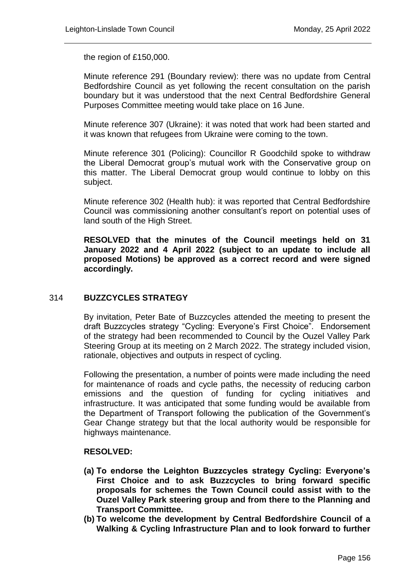the region of £150,000.

Minute reference 291 (Boundary review): there was no update from Central Bedfordshire Council as yet following the recent consultation on the parish boundary but it was understood that the next Central Bedfordshire General Purposes Committee meeting would take place on 16 June.

Minute reference 307 (Ukraine): it was noted that work had been started and it was known that refugees from Ukraine were coming to the town.

Minute reference 301 (Policing): Councillor R Goodchild spoke to withdraw the Liberal Democrat group's mutual work with the Conservative group on this matter. The Liberal Democrat group would continue to lobby on this subject.

Minute reference 302 (Health hub): it was reported that Central Bedfordshire Council was commissioning another consultant's report on potential uses of land south of the High Street.

**RESOLVED that the minutes of the Council meetings held on 31 January 2022 and 4 April 2022 (subject to an update to include all proposed Motions) be approved as a correct record and were signed accordingly.** 

## 314 **BUZZCYCLES STRATEGY**

By invitation, Peter Bate of Buzzcycles attended the meeting to present the draft Buzzcycles strategy "Cycling: Everyone's First Choice". Endorsement of the strategy had been recommended to Council by the Ouzel Valley Park Steering Group at its meeting on 2 March 2022. The strategy included vision, rationale, objectives and outputs in respect of cycling.

Following the presentation, a number of points were made including the need for maintenance of roads and cycle paths, the necessity of reducing carbon emissions and the question of funding for cycling initiatives and infrastructure. It was anticipated that some funding would be available from the Department of Transport following the publication of the Government's Gear Change strategy but that the local authority would be responsible for highways maintenance.

#### **RESOLVED:**

- **(a) To endorse the Leighton Buzzcycles strategy Cycling: Everyone's First Choice and to ask Buzzcycles to bring forward specific proposals for schemes the Town Council could assist with to the Ouzel Valley Park steering group and from there to the Planning and Transport Committee.**
- **(b) To welcome the development by Central Bedfordshire Council of a Walking & Cycling Infrastructure Plan and to look forward to further**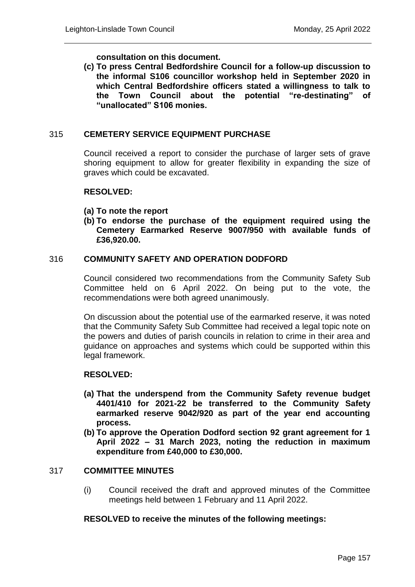## **consultation on this document.**

**(c) To press Central Bedfordshire Council for a follow-up discussion to the informal S106 councillor workshop held in September 2020 in which Central Bedfordshire officers stated a willingness to talk to the Town Council about the potential "re-destinating" of "unallocated" S106 monies.** 

# 315 **CEMETERY SERVICE EQUIPMENT PURCHASE**

Council received a report to consider the purchase of larger sets of grave shoring equipment to allow for greater flexibility in expanding the size of graves which could be excavated.

### **RESOLVED:**

- **(a) To note the report**
- **(b) To endorse the purchase of the equipment required using the Cemetery Earmarked Reserve 9007/950 with available funds of £36,920.00.**

### 316 **COMMUNITY SAFETY AND OPERATION DODFORD**

Council considered two recommendations from the Community Safety Sub Committee held on 6 April 2022. On being put to the vote, the recommendations were both agreed unanimously.

On discussion about the potential use of the earmarked reserve, it was noted that the Community Safety Sub Committee had received a legal topic note on the powers and duties of parish councils in relation to crime in their area and guidance on approaches and systems which could be supported within this legal framework.

## **RESOLVED:**

- **(a) That the underspend from the Community Safety revenue budget 4401/410 for 2021-22 be transferred to the Community Safety earmarked reserve 9042/920 as part of the year end accounting process.**
- **(b) To approve the Operation Dodford section 92 grant agreement for 1 April 2022 – 31 March 2023, noting the reduction in maximum expenditure from £40,000 to £30,000.**

### 317 **COMMITTEE MINUTES**

(i) Council received the draft and approved minutes of the Committee meetings held between 1 February and 11 April 2022.

## **RESOLVED to receive the minutes of the following meetings:**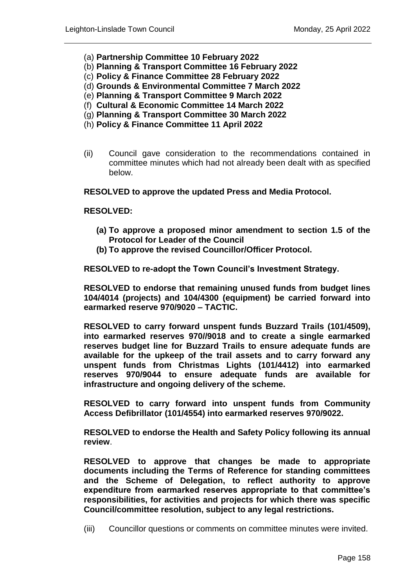- (a) **Partnership Committee 10 February 2022**
- (b) **Planning & Transport Committee 16 February 2022**
- (c) **Policy & Finance Committee 28 February 2022**
- (d) **Grounds & Environmental Committee 7 March 2022**
- (e) **Planning & Transport Committee 9 March 2022**
- (f) **Cultural & Economic Committee 14 March 2022**
- (g) **Planning & Transport Committee 30 March 2022**
- (h) **Policy & Finance Committee 11 April 2022**
- (ii) Council gave consideration to the recommendations contained in committee minutes which had not already been dealt with as specified below.

**RESOLVED to approve the updated Press and Media Protocol.**

#### **RESOLVED:**

- **(a) To approve a proposed minor amendment to section 1.5 of the Protocol for Leader of the Council**
- **(b) To approve the revised Councillor/Officer Protocol.**

**RESOLVED to re-adopt the Town Council's Investment Strategy.**

**RESOLVED to endorse that remaining unused funds from budget lines 104/4014 (projects) and 104/4300 (equipment) be carried forward into earmarked reserve 970/9020 – TACTIC.**

**RESOLVED to carry forward unspent funds Buzzard Trails (101/4509), into earmarked reserves 970//9018 and to create a single earmarked reserves budget line for Buzzard Trails to ensure adequate funds are available for the upkeep of the trail assets and to carry forward any unspent funds from Christmas Lights (101/4412) into earmarked reserves 970/9044 to ensure adequate funds are available for infrastructure and ongoing delivery of the scheme.**

**RESOLVED to carry forward into unspent funds from Community Access Defibrillator (101/4554) into earmarked reserves 970/9022.**

**RESOLVED to endorse the Health and Safety Policy following its annual review**.

**RESOLVED to approve that changes be made to appropriate documents including the Terms of Reference for standing committees and the Scheme of Delegation, to reflect authority to approve expenditure from earmarked reserves appropriate to that committee's responsibilities, for activities and projects for which there was specific Council/committee resolution, subject to any legal restrictions.**

(iii) Councillor questions or comments on committee minutes were invited.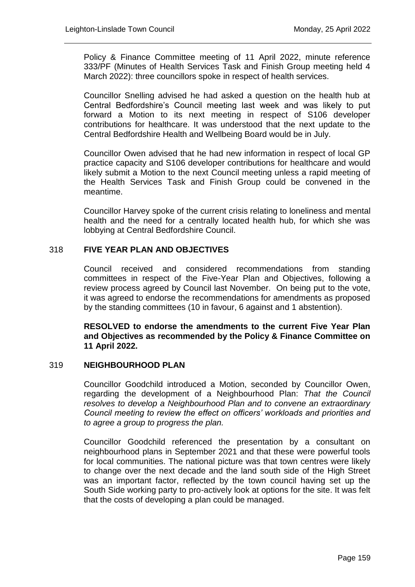Policy & Finance Committee meeting of 11 April 2022, minute reference 333/PF (Minutes of Health Services Task and Finish Group meeting held 4 March 2022): three councillors spoke in respect of health services.

Councillor Snelling advised he had asked a question on the health hub at Central Bedfordshire's Council meeting last week and was likely to put forward a Motion to its next meeting in respect of S106 developer contributions for healthcare. It was understood that the next update to the Central Bedfordshire Health and Wellbeing Board would be in July.

Councillor Owen advised that he had new information in respect of local GP practice capacity and S106 developer contributions for healthcare and would likely submit a Motion to the next Council meeting unless a rapid meeting of the Health Services Task and Finish Group could be convened in the meantime.

Councillor Harvey spoke of the current crisis relating to loneliness and mental health and the need for a centrally located health hub, for which she was lobbying at Central Bedfordshire Council.

## 318 **FIVE YEAR PLAN AND OBJECTIVES**

Council received and considered recommendations from standing committees in respect of the Five-Year Plan and Objectives, following a review process agreed by Council last November. On being put to the vote, it was agreed to endorse the recommendations for amendments as proposed by the standing committees (10 in favour, 6 against and 1 abstention).

**RESOLVED to endorse the amendments to the current Five Year Plan and Objectives as recommended by the Policy & Finance Committee on 11 April 2022.**

#### 319 **NEIGHBOURHOOD PLAN**

Councillor Goodchild introduced a Motion, seconded by Councillor Owen, regarding the development of a Neighbourhood Plan: *That the Council resolves to develop a Neighbourhood Plan and to convene an extraordinary Council meeting to review the effect on officers' workloads and priorities and to agree a group to progress the plan.* 

Councillor Goodchild referenced the presentation by a consultant on neighbourhood plans in September 2021 and that these were powerful tools for local communities. The national picture was that town centres were likely to change over the next decade and the land south side of the High Street was an important factor, reflected by the town council having set up the South Side working party to pro-actively look at options for the site. It was felt that the costs of developing a plan could be managed.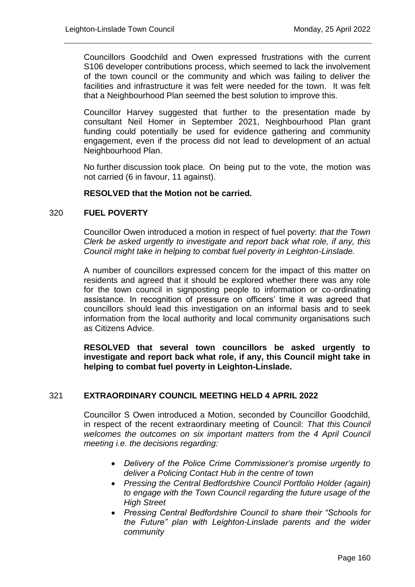Councillors Goodchild and Owen expressed frustrations with the current S106 developer contributions process, which seemed to lack the involvement of the town council or the community and which was failing to deliver the facilities and infrastructure it was felt were needed for the town. It was felt that a Neighbourhood Plan seemed the best solution to improve this.

Councillor Harvey suggested that further to the presentation made by consultant Neil Homer in September 2021, Neighbourhood Plan grant funding could potentially be used for evidence gathering and community engagement, even if the process did not lead to development of an actual Neighbourhood Plan.

No further discussion took place. On being put to the vote, the motion was not carried (6 in favour, 11 against).

### **RESOLVED that the Motion not be carried.**

### 320 **FUEL POVERTY**

Councillor Owen introduced a motion in respect of fuel poverty: *that the Town Clerk be asked urgently to investigate and report back what role, if any, this Council might take in helping to combat fuel poverty in Leighton-Linslade.*

A number of councillors expressed concern for the impact of this matter on residents and agreed that it should be explored whether there was any role for the town council in signposting people to information or co-ordinating assistance. In recognition of pressure on officers' time it was agreed that councillors should lead this investigation on an informal basis and to seek information from the local authority and local community organisations such as Citizens Advice.

**RESOLVED that several town councillors be asked urgently to investigate and report back what role, if any, this Council might take in helping to combat fuel poverty in Leighton-Linslade.**

#### 321 **EXTRAORDINARY COUNCIL MEETING HELD 4 APRIL 2022**

Councillor S Owen introduced a Motion, seconded by Councillor Goodchild, in respect of the recent extraordinary meeting of Council: *That this Council welcomes the outcomes on six important matters from the 4 April Council meeting i.e. the decisions regarding:*

- *Delivery of the Police Crime Commissioner's promise urgently to deliver a Policing Contact Hub in the centre of town*
- *Pressing the Central Bedfordshire Council Portfolio Holder (again) to engage with the Town Council regarding the future usage of the High Street*
- *Pressing Central Bedfordshire Council to share their "Schools for the Future" plan with Leighton-Linslade parents and the wider community*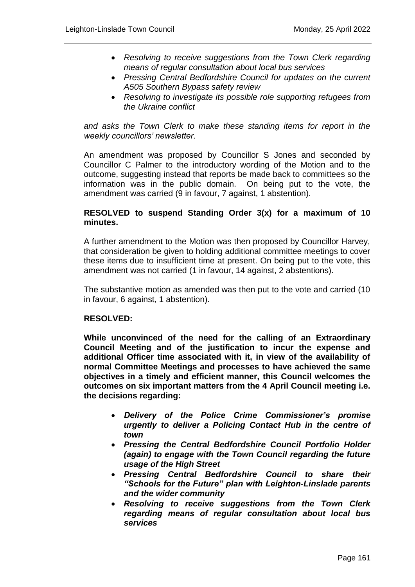- *Resolving to receive suggestions from the Town Clerk regarding means of regular consultation about local bus services*
- *Pressing Central Bedfordshire Council for updates on the current A505 Southern Bypass safety review*
- *Resolving to investigate its possible role supporting refugees from the Ukraine conflict*

*and asks the Town Clerk to make these standing items for report in the weekly councillors' newsletter.* 

An amendment was proposed by Councillor S Jones and seconded by Councillor C Palmer to the introductory wording of the Motion and to the outcome, suggesting instead that reports be made back to committees so the information was in the public domain. On being put to the vote, the amendment was carried (9 in favour, 7 against, 1 abstention).

## **RESOLVED to suspend Standing Order 3(x) for a maximum of 10 minutes.**

A further amendment to the Motion was then proposed by Councillor Harvey, that consideration be given to holding additional committee meetings to cover these items due to insufficient time at present. On being put to the vote, this amendment was not carried (1 in favour, 14 against, 2 abstentions).

The substantive motion as amended was then put to the vote and carried (10 in favour, 6 against, 1 abstention).

## **RESOLVED:**

**While unconvinced of the need for the calling of an Extraordinary Council Meeting and of the justification to incur the expense and additional Officer time associated with it, in view of the availability of normal Committee Meetings and processes to have achieved the same objectives in a timely and efficient manner, this Council welcomes the outcomes on six important matters from the 4 April Council meeting i.e. the decisions regarding:** 

- *Delivery of the Police Crime Commissioner's promise urgently to deliver a Policing Contact Hub in the centre of town*
- *Pressing the Central Bedfordshire Council Portfolio Holder (again) to engage with the Town Council regarding the future usage of the High Street*
- *Pressing Central Bedfordshire Council to share their "Schools for the Future" plan with Leighton-Linslade parents and the wider community*
- *Resolving to receive suggestions from the Town Clerk regarding means of regular consultation about local bus services*